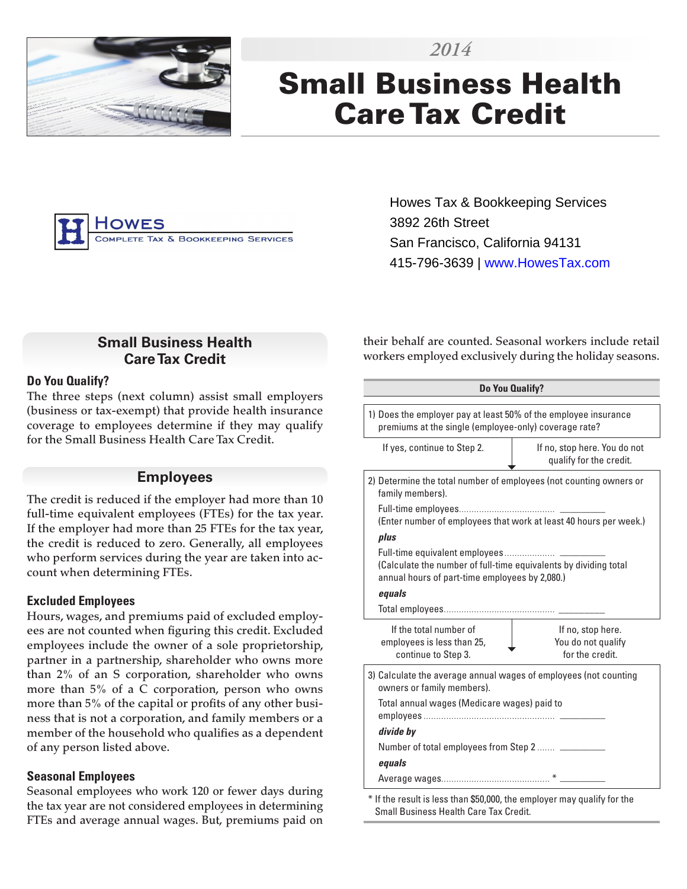

# Small Business Health Care Tax Credit

*2014*



Howes Tax & Bookkeeping Services 3892 26th Street San Francisco, California 94131 415-796-3639 | www.HowesTax.com

## **Small Business Health Care Tax Credit**

#### **Do You Qualify?**

The three steps (next column) assist small employers (business or tax-exempt) that provide health insurance coverage to employees determine if they may qualify for the Small Business Health Care Tax Credit.

#### **Employees**

The credit is reduced if the employer had more than 10 full-time equivalent employees (FTEs) for the tax year. If the employer had more than 25 FTEs for the tax year, the credit is reduced to zero. Generally, all employees who perform services during the year are taken into account when determining FTEs.

#### **Excluded Employees**

Hours, wages, and premiums paid of excluded employees are not counted when figuring this credit. Excluded employees include the owner of a sole proprietorship, partner in a partnership, shareholder who owns more than 2% of an S corporation, shareholder who owns more than 5% of a C corporation, person who owns more than 5% of the capital or profits of any other business that is not a corporation, and family members or a member of the household who qualifies as a dependent of any person listed above.

#### **Seasonal Employees**

Seasonal employees who work 120 or fewer days during the tax year are not considered employees in determining FTEs and average annual wages. But, premiums paid on their behalf are counted. Seasonal workers include retail workers employed exclusively during the holiday seasons.

| Do You Qualify?                                                                                                          |                                                                   |  |  |  |  |  |  |  |
|--------------------------------------------------------------------------------------------------------------------------|-------------------------------------------------------------------|--|--|--|--|--|--|--|
| 1) Does the employer pay at least 50% of the employee insurance<br>premiums at the single (employee-only) coverage rate? |                                                                   |  |  |  |  |  |  |  |
| If yes, continue to Step 2.                                                                                              | If no, stop here. You do not<br>qualify for the credit.           |  |  |  |  |  |  |  |
| 2) Determine the total number of employees (not counting owners or<br>family members).                                   |                                                                   |  |  |  |  |  |  |  |
|                                                                                                                          | (Enter number of employees that work at least 40 hours per week.) |  |  |  |  |  |  |  |
| plus                                                                                                                     |                                                                   |  |  |  |  |  |  |  |
| (Calculate the number of full-time equivalents by dividing total<br>annual hours of part-time employees by 2,080.)       |                                                                   |  |  |  |  |  |  |  |
| equals                                                                                                                   |                                                                   |  |  |  |  |  |  |  |
|                                                                                                                          |                                                                   |  |  |  |  |  |  |  |
| If the total number of<br>employees is less than 25,<br>continue to Step 3.                                              | If no, stop here.<br>You do not qualify<br>for the credit.        |  |  |  |  |  |  |  |
| 3) Calculate the average annual wages of employees (not counting<br>owners or family members).                           |                                                                   |  |  |  |  |  |  |  |
| Total annual wages (Medicare wages) paid to                                                                              |                                                                   |  |  |  |  |  |  |  |
| divide by                                                                                                                |                                                                   |  |  |  |  |  |  |  |
| Number of total employees from Step 2                                                                                    |                                                                   |  |  |  |  |  |  |  |
| equals                                                                                                                   |                                                                   |  |  |  |  |  |  |  |
|                                                                                                                          |                                                                   |  |  |  |  |  |  |  |

If the result is less than \$50,000, the employer may qualify for the Small Business Health Care Tax Credit.